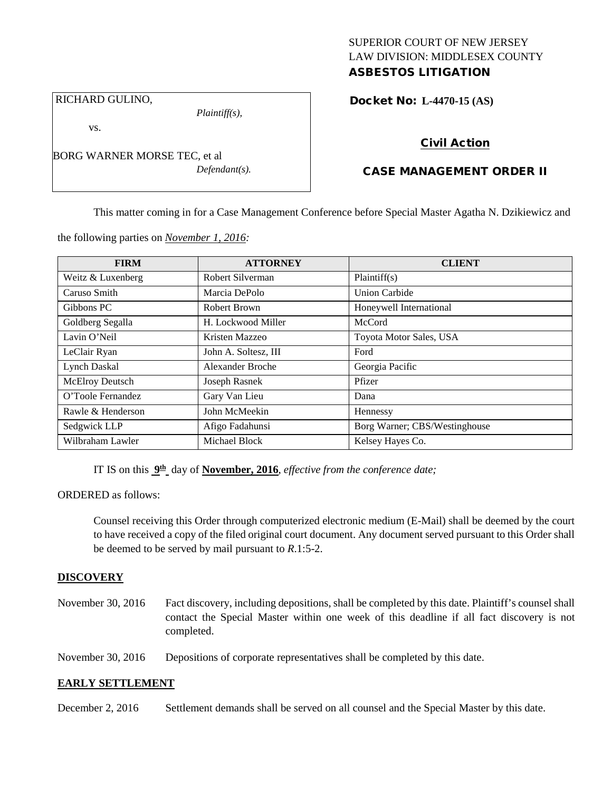### SUPERIOR COURT OF NEW JERSEY LAW DIVISION: MIDDLESEX COUNTY ASBESTOS LITIGATION

RICHARD GULINO,

vs.

*Plaintiff(s),*

*Defendant(s).*

Docket No: **L-4470-15 (AS)** 

# Civil Action

## CASE MANAGEMENT ORDER II

This matter coming in for a Case Management Conference before Special Master Agatha N. Dzikiewicz and

the following parties on *November 1, 2016:*

BORG WARNER MORSE TEC, et al

| <b>FIRM</b>       | <b>ATTORNEY</b>      | <b>CLIENT</b>                 |
|-------------------|----------------------|-------------------------------|
| Weitz & Luxenberg | Robert Silverman     | Plaintiff(s)                  |
| Caruso Smith      | Marcia DePolo        | <b>Union Carbide</b>          |
| Gibbons PC        | Robert Brown         | Honeywell International       |
| Goldberg Segalla  | H. Lockwood Miller   | McCord                        |
| Lavin O'Neil      | Kristen Mazzeo       | Toyota Motor Sales, USA       |
| LeClair Ryan      | John A. Soltesz, III | Ford                          |
| Lynch Daskal      | Alexander Broche     | Georgia Pacific               |
| McElroy Deutsch   | Joseph Rasnek        | Pfizer                        |
| O'Toole Fernandez | Gary Van Lieu        | Dana                          |
| Rawle & Henderson | John McMeekin        | Hennessy                      |
| Sedgwick LLP      | Afigo Fadahunsi      | Borg Warner; CBS/Westinghouse |
| Wilbraham Lawler  | Michael Block        | Kelsey Hayes Co.              |

IT IS on this **9th** day of **November, 2016**, *effective from the conference date;*

ORDERED as follows:

Counsel receiving this Order through computerized electronic medium (E-Mail) shall be deemed by the court to have received a copy of the filed original court document. Any document served pursuant to this Order shall be deemed to be served by mail pursuant to *R*.1:5-2.

### **DISCOVERY**

November 30, 2016 Fact discovery, including depositions, shall be completed by this date. Plaintiff's counsel shall contact the Special Master within one week of this deadline if all fact discovery is not completed.

November 30, 2016 Depositions of corporate representatives shall be completed by this date.

### **EARLY SETTLEMENT**

December 2, 2016 Settlement demands shall be served on all counsel and the Special Master by this date.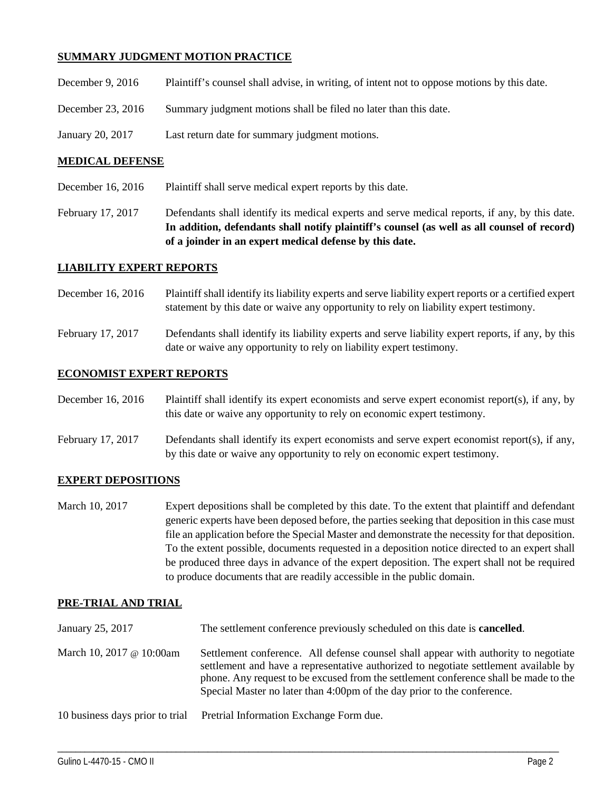### **SUMMARY JUDGMENT MOTION PRACTICE**

| December 9, $2016$ | Plaintiff's counsel shall advise, in writing, of intent not to oppose motions by this date. |
|--------------------|---------------------------------------------------------------------------------------------|
| December 23, 2016  | Summary judgment motions shall be filed no later than this date.                            |
| January 20, 2017   | Last return date for summary judgment motions.                                              |

#### **MEDICAL DEFENSE**

- December 16, 2016 Plaintiff shall serve medical expert reports by this date.
- February 17, 2017 Defendants shall identify its medical experts and serve medical reports, if any, by this date. **In addition, defendants shall notify plaintiff's counsel (as well as all counsel of record) of a joinder in an expert medical defense by this date.**

#### **LIABILITY EXPERT REPORTS**

- December 16, 2016 Plaintiff shall identify its liability experts and serve liability expert reports or a certified expert statement by this date or waive any opportunity to rely on liability expert testimony.
- February 17, 2017 Defendants shall identify its liability experts and serve liability expert reports, if any, by this date or waive any opportunity to rely on liability expert testimony.

#### **ECONOMIST EXPERT REPORTS**

- December 16, 2016 Plaintiff shall identify its expert economists and serve expert economist report(s), if any, by this date or waive any opportunity to rely on economic expert testimony.
- February 17, 2017 Defendants shall identify its expert economists and serve expert economist report(s), if any, by this date or waive any opportunity to rely on economic expert testimony.

### **EXPERT DEPOSITIONS**

March 10, 2017 Expert depositions shall be completed by this date. To the extent that plaintiff and defendant generic experts have been deposed before, the parties seeking that deposition in this case must file an application before the Special Master and demonstrate the necessity for that deposition. To the extent possible, documents requested in a deposition notice directed to an expert shall be produced three days in advance of the expert deposition. The expert shall not be required to produce documents that are readily accessible in the public domain.

#### **PRE-TRIAL AND TRIAL**

| January 25, 2017                | The settlement conference previously scheduled on this date is <b>cancelled</b> .                                                                                                                                                                                                                                                              |
|---------------------------------|------------------------------------------------------------------------------------------------------------------------------------------------------------------------------------------------------------------------------------------------------------------------------------------------------------------------------------------------|
| March 10, 2017 @ 10:00am        | Settlement conference. All defense counsel shall appear with authority to negotiate<br>settlement and have a representative authorized to negotiate settlement available by<br>phone. Any request to be excused from the settlement conference shall be made to the<br>Special Master no later than 4:00pm of the day prior to the conference. |
| 10 business days prior to trial | Pretrial Information Exchange Form due.                                                                                                                                                                                                                                                                                                        |

\_\_\_\_\_\_\_\_\_\_\_\_\_\_\_\_\_\_\_\_\_\_\_\_\_\_\_\_\_\_\_\_\_\_\_\_\_\_\_\_\_\_\_\_\_\_\_\_\_\_\_\_\_\_\_\_\_\_\_\_\_\_\_\_\_\_\_\_\_\_\_\_\_\_\_\_\_\_\_\_\_\_\_\_\_\_\_\_\_\_\_\_\_\_\_\_\_\_\_\_\_\_\_\_\_\_\_\_\_\_